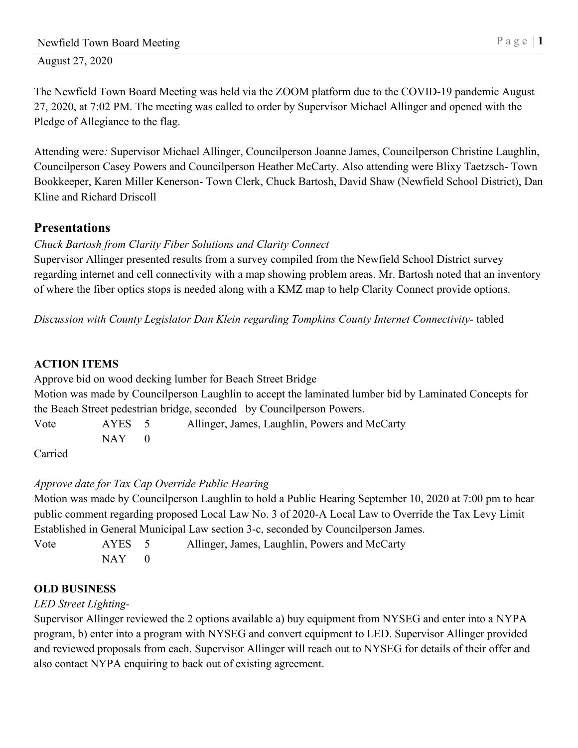The Newfield Town Board Meeting was held via the ZOOM platform due to the COVID-19 pandemic August 27, 2020, at 7:02 PM. The meeting was called to order by Supervisor Michael Allinger and opened with the Pledge of Allegiance to the flag.

Attending were*:* Supervisor Michael Allinger, Councilperson Joanne James, Councilperson Christine Laughlin, Councilperson Casey Powers and Councilperson Heather McCarty. Also attending were Blixy Taetzsch- Town Bookkeeper, Karen Miller Kenerson- Town Clerk, Chuck Bartosh, David Shaw (Newfield School District), Dan Kline and Richard Driscoll

# **Presentations**

# *Chuck Bartosh from Clarity Fiber Solutions and Clarity Connect*

Supervisor Allinger presented results from a survey compiled from the Newfield School District survey regarding internet and cell connectivity with a map showing problem areas. Mr. Bartosh noted that an inventory of where the fiber optics stops is needed along with a KMZ map to help Clarity Connect provide options.

*Discussion with County Legislator Dan Klein regarding Tompkins County Internet Connectivity-* tabled

# **ACTION ITEMS**

Approve bid on wood decking lumber for Beach Street Bridge Motion was made by Councilperson Laughlin to accept the laminated lumber bid by Laminated Concepts for the Beach Street pedestrian bridge, seconded by Councilperson Powers. Vote AYES 5 Allinger, James, Laughlin, Powers and McCarty  $NAY$  0

### Carried

# *Approve date for Tax Cap Override Public Hearing*

Motion was made by Councilperson Laughlin to hold a Public Hearing September 10, 2020 at 7:00 pm to hear public comment regarding proposed Local Law No. 3 of 2020-A Local Law to Override the Tax Levy Limit Established in General Municipal Law section 3-c, seconded by Councilperson James. Vote AYES 5 Allinger, James, Laughlin, Powers and McCarty

 $NAY$  0

# **OLD BUSINESS**

# *LED Street Lighting-*

Supervisor Allinger reviewed the 2 options available a) buy equipment from NYSEG and enter into a NYPA program, b) enter into a program with NYSEG and convert equipment to LED. Supervisor Allinger provided and reviewed proposals from each. Supervisor Allinger will reach out to NYSEG for details of their offer and also contact NYPA enquiring to back out of existing agreement.